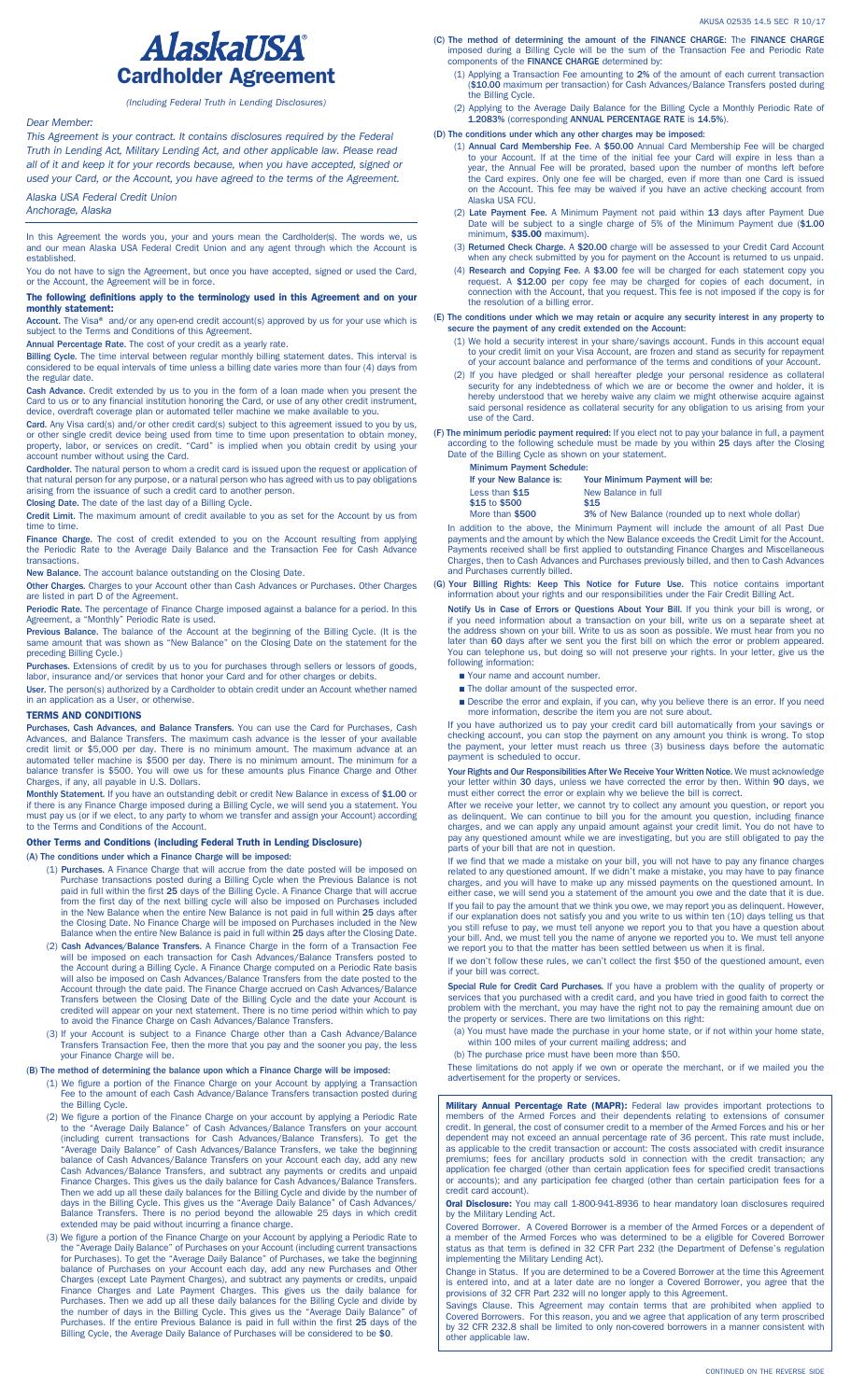

*(Including Federal Truth in Lending Disclosures)*

## *Dear Member:*

*This Agreement is your contract. It contains disclosures required by the Federal Truth in Lending Act, Military Lending Act, and other applicable law. Please read all of it and keep it for your records because, when you have accepted, signed or used your Card, or the Account, you have agreed to the terms of the Agreement.*

*Alaska USA Federal Credit Union*

*Anchorage, Alaska*

In this Agreement the words you, your and yours mean the Cardholder(s). The words we, us and our mean Alaska USA Federal Credit Union and any agent through which the Account is established.

You do not have to sign the Agreement, but once you have accepted, signed or used the Card, or the Account, the Agreement will be in force.

#### The following definitions apply to the terminology used in this Agreement and on your monthly statement:

Account. The Visa® and/or any open-end credit account(s) approved by us for your use which is subject to the Terms and Conditions of this Agreement.

Annual Percentage Rate. The cost of your credit as a yearly rate.

Billing Cycle. The time interval between regular monthly billing statement dates. This interval is considered to be equal intervals of time unless a billing date varies more than four (4) days from the regular date.

Cash Advance. Credit extended by us to you in the form of a loan made when you present the<br>Card to us or to any financial institution honoring the Card, or use of any other credit instrument,<br>device, overdraft coverage pla

Card. Any Visa card(s) and/or other credit card(s) subject to this agreement issued to you by us,<br>or other single credit device being used from time to time upon presentation to obtain money,<br>property, labor, or services o account number without using the Card.

Cardholder. The natural person to whom a credit card is issued upon the request or application of<br>that natural person for any purpose, or a natural person who has agreed with us to pay obligations<br>arising from the issuance

Closing Date. The date of the last day of a Billing Cycle.

Credit Limit. The maximum amount of credit available to you as set for the Account by us from time to time.

Finance Charge. The cost of credit extended to you on the Account resulting from applying the Periodic Rate to the Average Daily Balance and the Transaction Fee for Cash Advance transactions.

New Balance. The account balance outstanding on the Closing Date.

Other Charges. Charges to your Account other than Cash Advances or Purchases. Other Charges are listed in part D of the Agreement.

Periodic Rate. The percentage of Finance Charge imposed against a balance for a period. In this (period) retain<br>Agreement, a "Monthly" Periodic Rate is used.

Previous Balance. The balance of the Account at the beginning of the Billing Cycle. (It is the same amount that was shown as "New Balance" on the Closing Date on the statement for the preceding Billing Cycle.)

Purchases. Extensions of credit by us to you for purchases through sellers or lessors of goods,<br>labor, insurance and/or services that honor your Card and for other charges or debits.

User. The person(s) authorized by a Cardholder to obtain credit under an Account whether named in an application as a User, or otherwise.

### TERMS AND CONDITIONS

Purchases, Cash Advances, and Balance Transfers. You can use the Card for Purchases, Cash Advances, and Balance Transfers. The maximum cash advance is the lesser of your available<br>credit limit or \$5,000 per day. There is no minimum amount. The maximum advance at an<br>automated teller machine is \$500 per day. Ther Charges, if any, all payable in U.S. Dollars.

Monthly Statement. If you have an outstanding debit or credit New Balance in excess of \$1.00 or if there is any Finance Charge imposed during a Billing Cycle, we will send you a statement. You<br>must pay us (or if we elect, to any party to whom we transfer and assign your Account) according<br>to the Terms and Conditions

## Other Terms and Conditions (including Federal Truth in Lending Disclosure)

(A) The conditions under which a Finance Charge will be imposed:

- (1) Purchases. A Finance Charge that will accrue from the date posted will be imposed on Purchase transactions posted during a Billing Cycle when the Previous Balance is not<br>paid in full within the first 25 days of the Billing Cycle. A Finance Charge that will accrue<br>from the first day of the next billing cycl the Closing Date. No Finance Charge will be imposed on Purchases included in the New Balance when the entire New Balance is paid in full within 25 days after the Closing Date.
- (2) Cash Advances/Balance Transfers. A Finance Charge in the form of a Transaction Fee will be imposed on each transaction for Cash Advances/Balance Transfers posted to the Account during a Billing Cycle. A Finance Charge will also be imposed on Cash Advances/Balance Transfers from the date posted to the<br>Account through the date paid. The Finance Charge accrued on Cash Advances/Balance<br>Transfers between the Closing Date of the Billing Cycle credited will appear on your next statement. There is no time period within which to pay to avoid the Finance Charge on Cash Advances/Balance Transfers.
- (3) If your Account is subject to a Finance Charge other than a Cash Advance/Balance Transfers Transaction Fee, then the more that you pay and the sooner you pay, the less your Finance Charge will be.

#### (B) The method of determining the balance upon which a Finance Charge will be imposed:

(1) We figure a portion of the Finance Charge on your Account by applying a Transaction Fee to the amount of each Cash Advance/Balance Transfers transaction posted during the Billing Cycle.

- (2) We figure a portion of the Finance Charge on your account by applying a Periodic Rate<br>to the "Average Daily Balance" of Cash Advances/Balance Transfers on your account<br>(including current transactions for Cash Advances/ balance of Cash Advances/Balance Transfers on your Account each day, add any new<br>Cash Advances/Balance Transfers, and subtract any payments or credits and unpaid<br>Finance Charges. This gives us the daily balance for Cash Ad extended may be paid without incurring a finance charge.
- (3) We figure a portion of the Finance Charge on your Account by applying a Periodic Rate to<br>the "Average Daily Balance" of Purchases on your Account (including current transactions<br>for Purchases). To get the "Average Dail
- (C) The method of determining the amount of the FINANCE CHARGE: The FINANCE CHARGE imposed during a Billing Cycle will be the sum of the Transaction Fee and Periodic Rate components of the FINANCE CHARGE determined by:
	- (1) Applying a Transaction Fee amounting to 2% of the amount of each current transaction (\$10.00 maximum per transaction) for Cash Advances/Balance Transfers posted during the Billing Cycle.
- (2) Applying to the Average Daily Balance for the Billing Cycle a Monthly Periodic Rate of 1.2083% (corresponding ANNUAL PERCENTAGE RATE is 14.5%).
- (D) The conditions under which any other charges may be imposed:
	- (1) **Annual Card Membership Fee.** A \$50.00 Annual Card Membership Fee will be charged to your Account. If at the time of the initial fee your Card will expire in less than a year, the Annual Fee will be prorated, based upo Alaska USA FCU.
	- (2) Late Payment Fee. A Minimum Payment not paid within 13 days after Payment Due<br>Date will be subject to a single charge of 5% of the Minimum Payment due (\$1.00<br>minimum, \$35.00 maximum).
	- (3) Returned Check Charge. A \$20.00 charge will be assessed to your Credit Card Account when any check submitted by you for payment on the Account is returned to us unpaid.
	- (4) Research and Copying Fee. A \$3.00 fee will be charged for each statement copy you request. A \$12.00 per copy fee may be charged for copies of each document, in connection with the Account, that you request. This fee is not imposed if the copy is for the resolution of a billing error.

#### (E) The conditions under which we may retain or acquire any security interest in any property to secure the payment of any credit extended on the Account:

- (1) We hold a security interest in your share/savings account. Funds in this account equal to your credit limit on your Visa Account, are frozen and stand as security for repayment of your account balance and performance of the terms and conditions of your Account.
- (2) If you have pledged or shall hereafter pledge your personal residence as collateral security for any indebtedness of which we are or become the owner and holder, it is hereby understood that we hereby waive any claim w use of the Card.

(F) The minimum periodic payment required: If you elect not to pay your balance in full, a payment according to the following schedule must be made by you within 25 days after the Closing Date of the Billing Cycle as shown

# Minimum Payment Schedule:

| If your New Balance is: | Your Minimum Payment will be: |
|-------------------------|-------------------------------|
| Less than \$15          | New Balance in full           |
| \$15 to \$500           | \$15                          |

More than  $$500$ 3% of New Balance (rounded up to next whole dollar)

In addition to the above, the Minimum Payment will include the amount of all Past Due payments and the amount by which the New Balance exceeds the Credit Limit for the Account.<br>Payments received shall be first applied to outstanding Finance Charges and Miscellaneous<br>Charges, then to Cash Advances and Purcha

(G) Your Billing Rights: Keep This Notice for Future Use. This notice contains important information about your rights and our responsibilities under the Fair Credit Billing Act.

Notify Us in Case of Errors or Questions About Your Bill. If you think your bill is wrong, or if you need information about a transaction on your bill, write us on a separate sheet at<br>the address shown on your bill. Write to us as soon as possible. We must hear from you no<br>later than 60 days after we sent you the f following information:

- Your name and account number.
- The dollar amount of the suspected error.
- n Describe the error and explain, if you can, why you believe there is an error. If you need more information, describe the item you are not sure about.

If you have authorized us to pay your credit card bill automatically from your savings or<br>checking account, you can stop the payment on any amount you think is wrong. To stop<br>the payment, your letter must reach us three (3

Your Rights and Our Responsibilities After We Receive Your Written Notice. We must acknowledge your letter within 30 days, unless we have corrected the error by then. Within 90 days, we must either correct the error or explain why we believe the bill is correct.

After we receive your letter, we cannot try to collect any amount you question, or report you<br>as delinquent. We can continue to bill you for the amount you question, including finance<br>charges, and we can apply any unpaid a pay any questioned amount while we are investigating, but you are still obligated to pay the parts of your bill that are not in question.

If we find that we made a mistake on your bill, you will not have to pay any finance charges<br>related to any questioned amount. If we didn't make a mistake, you may have to pay finance<br>charges, and you will have to make up either case, we will send you a statement of the amount you owe and the date that it is due.

If you fail to pay the amount that we think you owe, we may report you as delinquent. However, if our explanation does not satisfy you and you write to us within ten (10) days telling us that<br>you still refuse to pay, we must tell anyone we report you to that you have a question about<br>your bill. And, we must tell you

If we don't follow these rules, we can't collect the first \$50 of the questioned amount, even if your bill was correct.

Special Rule for Credit Card Purchases. If you have a problem with the quality of property or services that you purchased with a credit card, and you have tried in good faith to correct the<br>problem with the merchant, you may have the right not to pay the remaining amount due on<br>the property or services. There are t

(a) You must have made the purchase in your home state, or if not within your home state, within 100 miles of your current mailing address; and

(b) The purchase price must have been more than \$50.

These limitations do not apply if we own or operate the merchant, or if we mailed you the advertisement for the property or services.

**Military Annual Percentage Rate (MAPR):** Federal law provides important protections to<br>members of the Armed Forces and their dependents relating to extensions of consumer<br>credit. In general, the cost of consumer credit to dependent may not exceed an annual percentage rate of 36 percent. This rate must include, as applicable to the credit transaction or account: The costs associated with credit insurance premiums; fees for ancillary products sold in connection with the credit transaction; any<br>application fee charged (other than certain application fees for specified credit transactions<br>or accounts); and any participation f credit card account).

Oral Disclosure: You may call 1-800-941-8936 to hear mandatory loan disclosures required by the Military Lending Act.

Covered Borrower. A Covered Borrower is a member of the Armed Forces or a dependent of a member of the Armed Forces who was determined to be a eligible for Covered Borrower status as that term is defined in 32 CFR Part 232 (the Department of Defense's regulation implementing the Military Lending Act).

Change in Status. If you are determined to be a Covered Borrower at the time this Agreement<br>is entered into, and at a later date are no longer a Covered Borrower, you agree that the<br>provisions of 32 CFR Part 232 will no lo

Savings Clause. This Agreement may contain terms that are prohibited when applied to<br>Covered Borrowers. For this reason, you and we agree that application of any term proscribed<br>by 32 CFR 232.8 shall be limited to only non other applicable law.